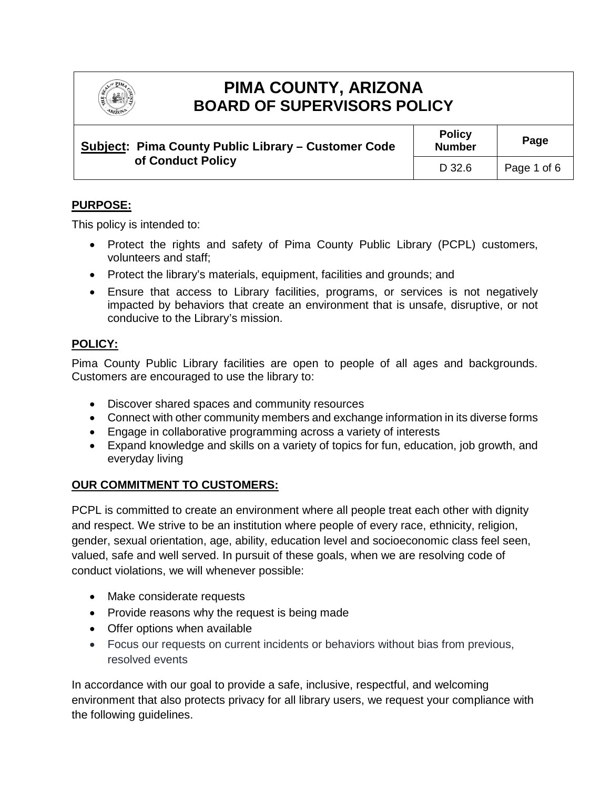

# **PIMA COUNTY, ARIZONA BOARD OF SUPERVISORS POLICY**

| Subject: Pima County Public Library – Customer Code<br>of Conduct Policy | <b>Policy</b><br><b>Number</b> | Page        |
|--------------------------------------------------------------------------|--------------------------------|-------------|
|                                                                          | D 32.6                         | Page 1 of 6 |

# **PURPOSE:**

This policy is intended to:

- Protect the rights and safety of Pima County Public Library (PCPL) customers, volunteers and staff;
- Protect the library's materials, equipment, facilities and grounds; and
- Ensure that access to Library facilities, programs, or services is not negatively impacted by behaviors that create an environment that is unsafe, disruptive, or not conducive to the Library's mission.

# **POLICY:**

Pima County Public Library facilities are open to people of all ages and backgrounds. Customers are encouraged to use the library to:

- Discover shared spaces and community resources
- Connect with other community members and exchange information in its diverse forms
- Engage in collaborative programming across a variety of interests
- Expand knowledge and skills on a variety of topics for fun, education, job growth, and everyday living

# **OUR COMMITMENT TO CUSTOMERS:**

PCPL is committed to create an environment where all people treat each other with dignity and respect. We strive to be an institution where people of every race, ethnicity, religion, gender, sexual orientation, age, ability, education level and socioeconomic class feel seen, valued, safe and well served. In pursuit of these goals, when we are resolving code of conduct violations, we will whenever possible:

- Make considerate requests
- Provide reasons why the request is being made
- Offer options when available
- Focus our requests on current incidents or behaviors without bias from previous, resolved events

In accordance with our goal to provide a safe, inclusive, respectful, and welcoming environment that also protects privacy for all library users, we request your compliance with the following guidelines.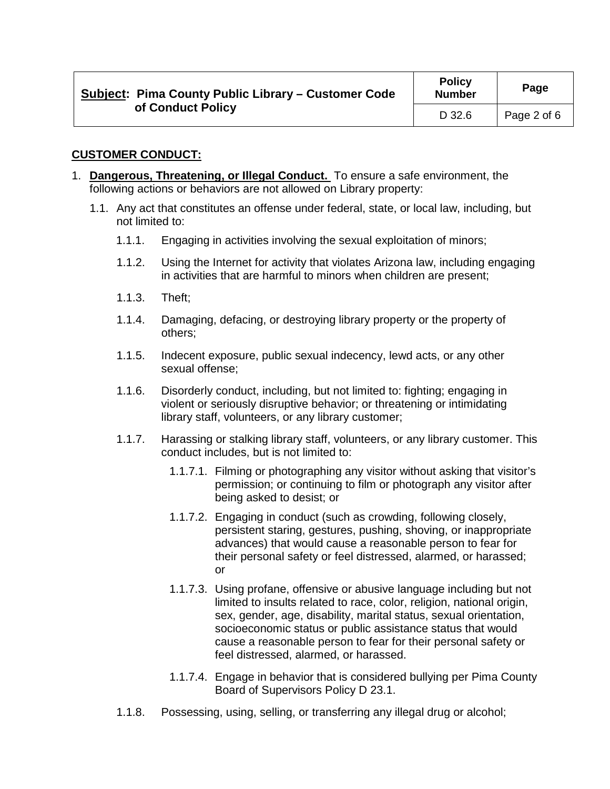| Subject: Pima County Public Library – Customer Code<br>of Conduct Policy | <b>Policy</b><br><b>Number</b> | Page        |
|--------------------------------------------------------------------------|--------------------------------|-------------|
|                                                                          | D 32.6                         | Page 2 of 6 |

#### **CUSTOMER CONDUCT:**

- 1. **Dangerous, Threatening, or Illegal Conduct.** To ensure a safe environment, the following actions or behaviors are not allowed on Library property:
	- 1.1. Any act that constitutes an offense under federal, state, or local law, including, but not limited to:
		- 1.1.1. Engaging in activities involving the sexual exploitation of minors;
		- 1.1.2. Using the Internet for activity that violates Arizona law, including engaging in activities that are harmful to minors when children are present;
		- 1.1.3. Theft;
		- 1.1.4. Damaging, defacing, or destroying library property or the property of others;
		- 1.1.5. Indecent exposure, public sexual indecency, lewd acts, or any other sexual offense;
		- 1.1.6. Disorderly conduct, including, but not limited to: fighting; engaging in violent or seriously disruptive behavior; or threatening or intimidating library staff, volunteers, or any library customer;
		- 1.1.7. Harassing or stalking library staff, volunteers, or any library customer. This conduct includes, but is not limited to:
			- 1.1.7.1. Filming or photographing any visitor without asking that visitor's permission; or continuing to film or photograph any visitor after being asked to desist; or
			- 1.1.7.2. Engaging in conduct (such as crowding, following closely, persistent staring, gestures, pushing, shoving, or inappropriate advances) that would cause a reasonable person to fear for their personal safety or feel distressed, alarmed, or harassed; or
			- 1.1.7.3. Using profane, offensive or abusive language including but not limited to insults related to race, color, religion, national origin, sex, gender, age, disability, marital status, sexual orientation, socioeconomic status or public assistance status that would cause a reasonable person to fear for their personal safety or feel distressed, alarmed, or harassed.
			- 1.1.7.4. Engage in behavior that is considered bullying per Pima County Board of Supervisors Policy D 23.1.
		- 1.1.8. Possessing, using, selling, or transferring any illegal drug or alcohol;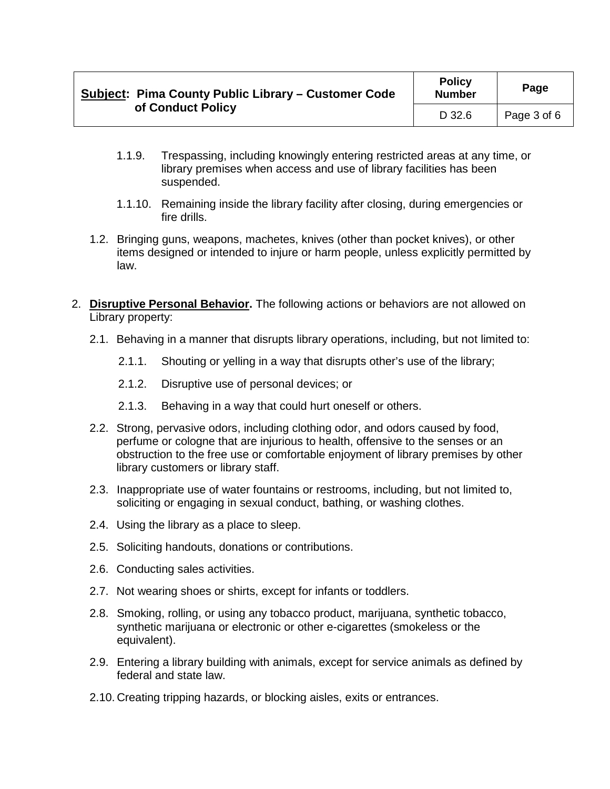| Subject: Pima County Public Library – Customer Code<br>of Conduct Policy | <b>Policy</b><br><b>Number</b> | Page        |
|--------------------------------------------------------------------------|--------------------------------|-------------|
|                                                                          | D 32.6                         | Page 3 of 6 |

- 1.1.9. Trespassing, including knowingly entering restricted areas at any time, or library premises when access and use of library facilities has been suspended.
- 1.1.10. Remaining inside the library facility after closing, during emergencies or fire drills.
- 1.2. Bringing guns, weapons, machetes, knives (other than pocket knives), or other items designed or intended to injure or harm people, unless explicitly permitted by law.
- 2. **Disruptive Personal Behavior.** The following actions or behaviors are not allowed on Library property:
	- 2.1. Behaving in a manner that disrupts library operations, including, but not limited to:
		- 2.1.1. Shouting or yelling in a way that disrupts other's use of the library;
		- 2.1.2. Disruptive use of personal devices; or
		- 2.1.3. Behaving in a way that could hurt oneself or others.
	- 2.2. Strong, pervasive odors, including clothing odor, and odors caused by food, perfume or cologne that are injurious to health, offensive to the senses or an obstruction to the free use or comfortable enjoyment of library premises by other library customers or library staff.
	- 2.3. Inappropriate use of water fountains or restrooms, including, but not limited to, soliciting or engaging in sexual conduct, bathing, or washing clothes.
	- 2.4. Using the library as a place to sleep.
	- 2.5. Soliciting handouts, donations or contributions.
	- 2.6. Conducting sales activities.
	- 2.7. Not wearing shoes or shirts, except for infants or toddlers.
	- 2.8. Smoking, rolling, or using any tobacco product, marijuana, synthetic tobacco, synthetic marijuana or electronic or other e-cigarettes (smokeless or the equivalent).
	- 2.9. Entering a library building with animals, except for service animals as defined by federal and state law.
	- 2.10. Creating tripping hazards, or blocking aisles, exits or entrances.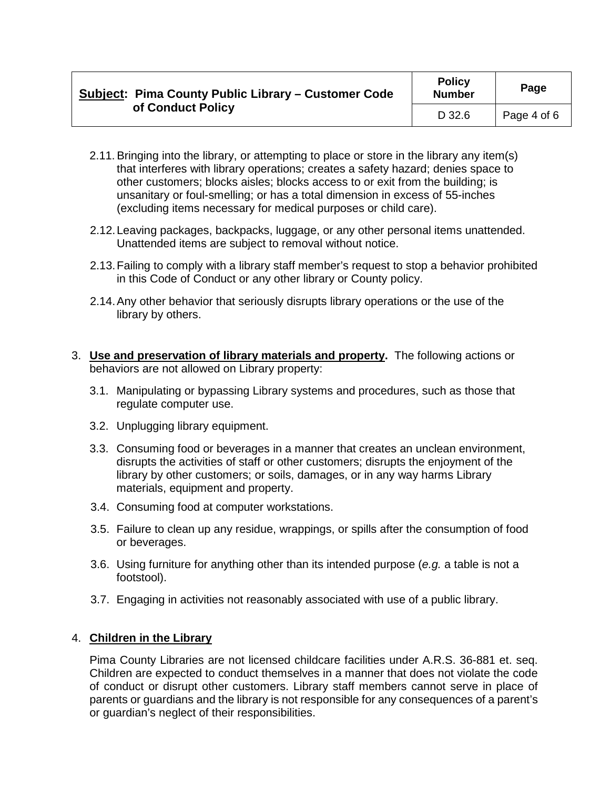| Subject: Pima County Public Library – Customer Code<br>of Conduct Policy | <b>Policy</b><br><b>Number</b> | Page        |
|--------------------------------------------------------------------------|--------------------------------|-------------|
|                                                                          | D 32.6                         | Page 4 of 6 |

- 2.11.Bringing into the library, or attempting to place or store in the library any item(s) that interferes with library operations; creates a safety hazard; denies space to other customers; blocks aisles; blocks access to or exit from the building; is unsanitary or foul-smelling; or has a total dimension in excess of 55-inches (excluding items necessary for medical purposes or child care).
- 2.12.Leaving packages, backpacks, luggage, or any other personal items unattended. Unattended items are subject to removal without notice.
- 2.13.Failing to comply with a library staff member's request to stop a behavior prohibited in this Code of Conduct or any other library or County policy.
- 2.14.Any other behavior that seriously disrupts library operations or the use of the library by others.
- 3. **Use and preservation of library materials and property.** The following actions or behaviors are not allowed on Library property:
	- 3.1. Manipulating or bypassing Library systems and procedures, such as those that regulate computer use.
	- 3.2. Unplugging library equipment.
	- 3.3. Consuming food or beverages in a manner that creates an unclean environment, disrupts the activities of staff or other customers; disrupts the enjoyment of the library by other customers; or soils, damages, or in any way harms Library materials, equipment and property.
	- 3.4. Consuming food at computer workstations.
	- 3.5. Failure to clean up any residue, wrappings, or spills after the consumption of food or beverages.
	- 3.6. Using furniture for anything other than its intended purpose (*e.g.* a table is not a footstool).
	- 3.7. Engaging in activities not reasonably associated with use of a public library.

# 4. **Children in the Library**

Pima County Libraries are not licensed childcare facilities under A.R.S. 36-881 et. seq. Children are expected to conduct themselves in a manner that does not violate the code of conduct or disrupt other customers. Library staff members cannot serve in place of parents or guardians and the library is not responsible for any consequences of a parent's or guardian's neglect of their responsibilities.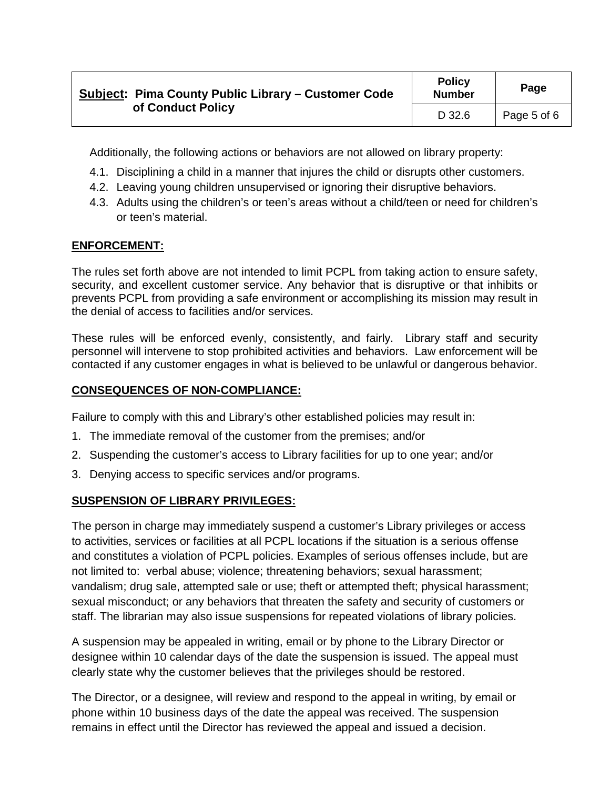| Subject: Pima County Public Library – Customer Code<br>of Conduct Policy | <b>Policy</b><br><b>Number</b> | Page        |
|--------------------------------------------------------------------------|--------------------------------|-------------|
|                                                                          | D 32.6                         | Page 5 of 6 |

Additionally, the following actions or behaviors are not allowed on library property:

- 4.1. Disciplining a child in a manner that injures the child or disrupts other customers.
- 4.2. Leaving young children unsupervised or ignoring their disruptive behaviors.
- 4.3. Adults using the children's or teen's areas without a child/teen or need for children's or teen's material.

# **ENFORCEMENT:**

The rules set forth above are not intended to limit PCPL from taking action to ensure safety, security, and excellent customer service. Any behavior that is disruptive or that inhibits or prevents PCPL from providing a safe environment or accomplishing its mission may result in the denial of access to facilities and/or services.

These rules will be enforced evenly, consistently, and fairly. Library staff and security personnel will intervene to stop prohibited activities and behaviors. Law enforcement will be contacted if any customer engages in what is believed to be unlawful or dangerous behavior.

### **CONSEQUENCES OF NON-COMPLIANCE:**

Failure to comply with this and Library's other established policies may result in:

- 1. The immediate removal of the customer from the premises; and/or
- 2. Suspending the customer's access to Library facilities for up to one year; and/or
- 3. Denying access to specific services and/or programs.

# **SUSPENSION OF LIBRARY PRIVILEGES:**

The person in charge may immediately suspend a customer's Library privileges or access to activities, services or facilities at all PCPL locations if the situation is a serious offense and constitutes a violation of PCPL policies. Examples of serious offenses include, but are not limited to: verbal abuse; violence; threatening behaviors; sexual harassment; vandalism; drug sale, attempted sale or use; theft or attempted theft; physical harassment; sexual misconduct; or any behaviors that threaten the safety and security of customers or staff. The librarian may also issue suspensions for repeated violations of library policies.

A suspension may be appealed in writing, email or by phone to the Library Director or designee within 10 calendar days of the date the suspension is issued. The appeal must clearly state why the customer believes that the privileges should be restored.

The Director, or a designee, will review and respond to the appeal in writing, by email or phone within 10 business days of the date the appeal was received. The suspension remains in effect until the Director has reviewed the appeal and issued a decision.